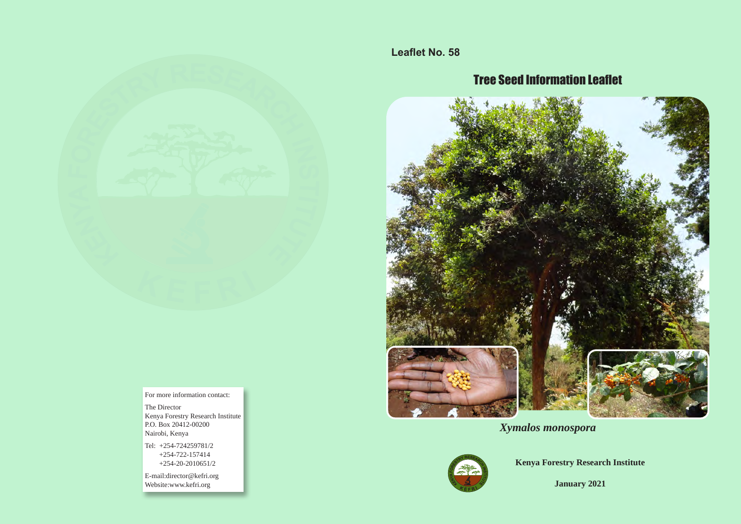

For more information contact:

The Director Kenya Forestry Research Institute P.O. Box 20412-00200 Nairobi, Kenya

Tel: +254-724259781/2 +254-722-157414 +254-20-2010651/2

E-mail:director@kefri.org Website:www.kefri.org

**Leaflet No. 58**

# Tree Seed Information Leaflet



*Xymalos monospora* 



**Kenya Forestry Research Institute**

**January 2021**